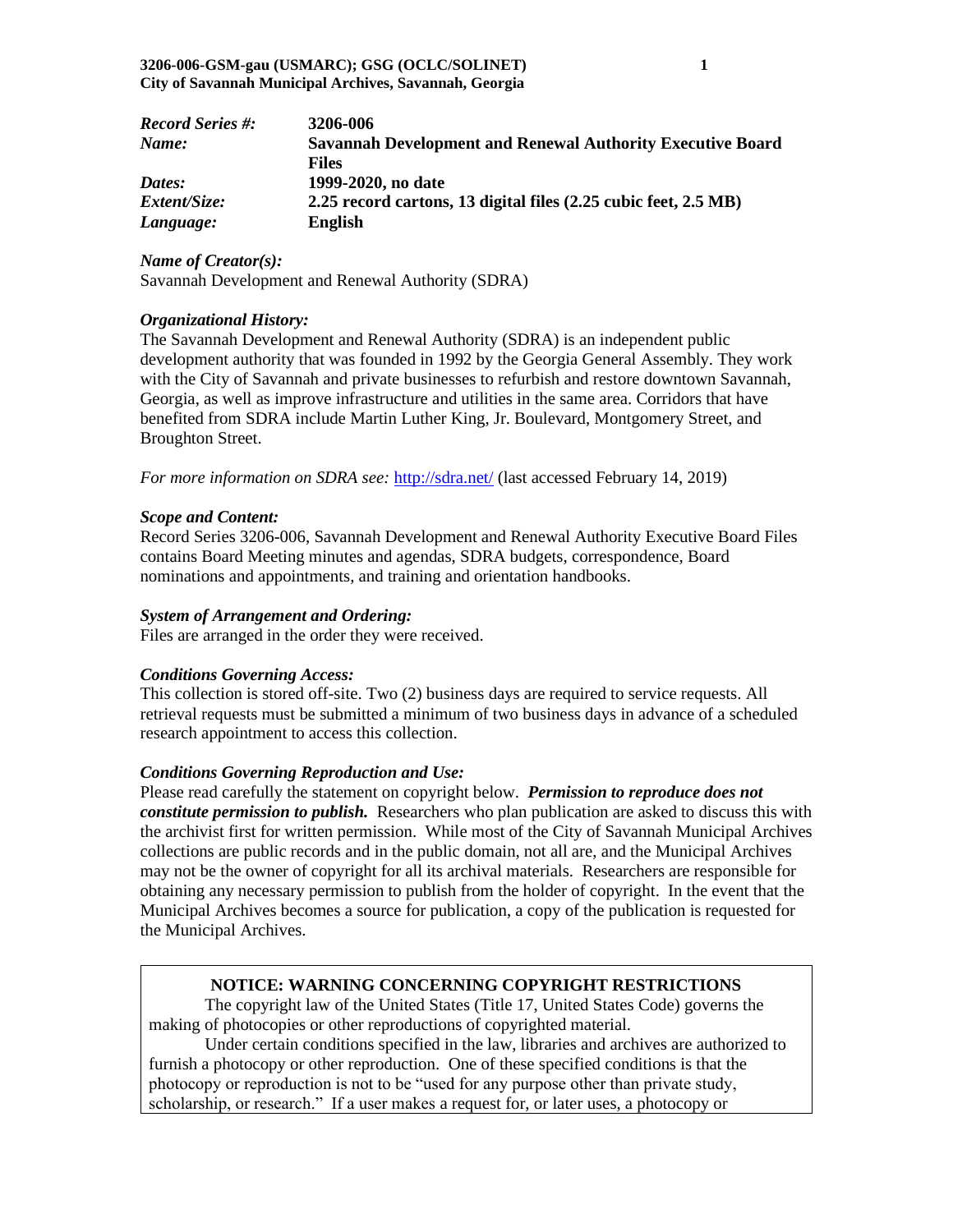| <b>Record Series #:</b> | 3206-006                                                          |
|-------------------------|-------------------------------------------------------------------|
| Name:                   | <b>Savannah Development and Renewal Authority Executive Board</b> |
|                         | <b>Files</b>                                                      |
| Dates:                  | 1999-2020, no date                                                |
| <i>Extent/Size:</i>     | 2.25 record cartons, 13 digital files (2.25 cubic feet, 2.5 MB)   |
| Language:               | <b>English</b>                                                    |

*Name of Creator(s):*

Savannah Development and Renewal Authority (SDRA)

#### *Organizational History:*

The Savannah Development and Renewal Authority (SDRA) is an independent public development authority that was founded in 1992 by the Georgia General Assembly. They work with the City of Savannah and private businesses to refurbish and restore downtown Savannah, Georgia, as well as improve infrastructure and utilities in the same area. Corridors that have benefited from SDRA include Martin Luther King, Jr. Boulevard, Montgomery Street, and Broughton Street.

*For more information on SDRA see:* <http://sdra.net/> (last accessed February 14, 2019)

#### *Scope and Content:*

Record Series 3206-006, Savannah Development and Renewal Authority Executive Board Files contains Board Meeting minutes and agendas, SDRA budgets, correspondence, Board nominations and appointments, and training and orientation handbooks.

#### *System of Arrangement and Ordering:*

Files are arranged in the order they were received.

#### *Conditions Governing Access:*

This collection is stored off-site. Two (2) business days are required to service requests. All retrieval requests must be submitted a minimum of two business days in advance of a scheduled research appointment to access this collection.

## *Conditions Governing Reproduction and Use:*

Please read carefully the statement on copyright below. *Permission to reproduce does not constitute permission to publish.* Researchers who plan publication are asked to discuss this with the archivist first for written permission. While most of the City of Savannah Municipal Archives collections are public records and in the public domain, not all are, and the Municipal Archives may not be the owner of copyright for all its archival materials. Researchers are responsible for obtaining any necessary permission to publish from the holder of copyright. In the event that the Municipal Archives becomes a source for publication, a copy of the publication is requested for the Municipal Archives.

## **NOTICE: WARNING CONCERNING COPYRIGHT RESTRICTIONS**

The copyright law of the United States (Title 17, United States Code) governs the making of photocopies or other reproductions of copyrighted material.

Under certain conditions specified in the law, libraries and archives are authorized to furnish a photocopy or other reproduction. One of these specified conditions is that the photocopy or reproduction is not to be "used for any purpose other than private study, scholarship, or research." If a user makes a request for, or later uses, a photocopy or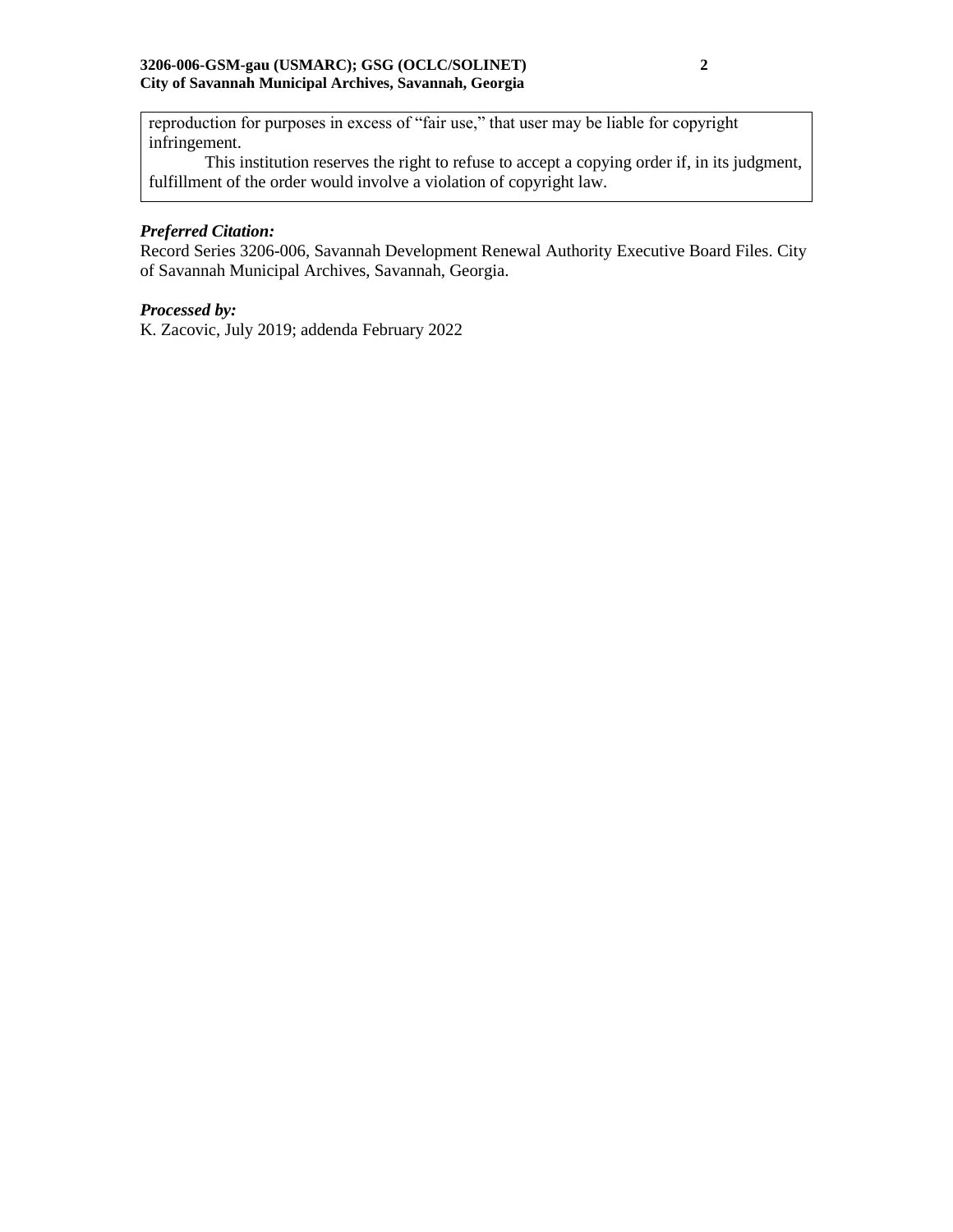#### **3206-006-GSM-gau (USMARC); GSG (OCLC/SOLINET) 2 City of Savannah Municipal Archives, Savannah, Georgia**

reproduction for purposes in excess of "fair use," that user may be liable for copyright infringement.

This institution reserves the right to refuse to accept a copying order if, in its judgment, fulfillment of the order would involve a violation of copyright law.

# *Preferred Citation:*

Record Series 3206-006, Savannah Development Renewal Authority Executive Board Files. City of Savannah Municipal Archives, Savannah, Georgia.

## *Processed by:*

K. Zacovic, July 2019; addenda February 2022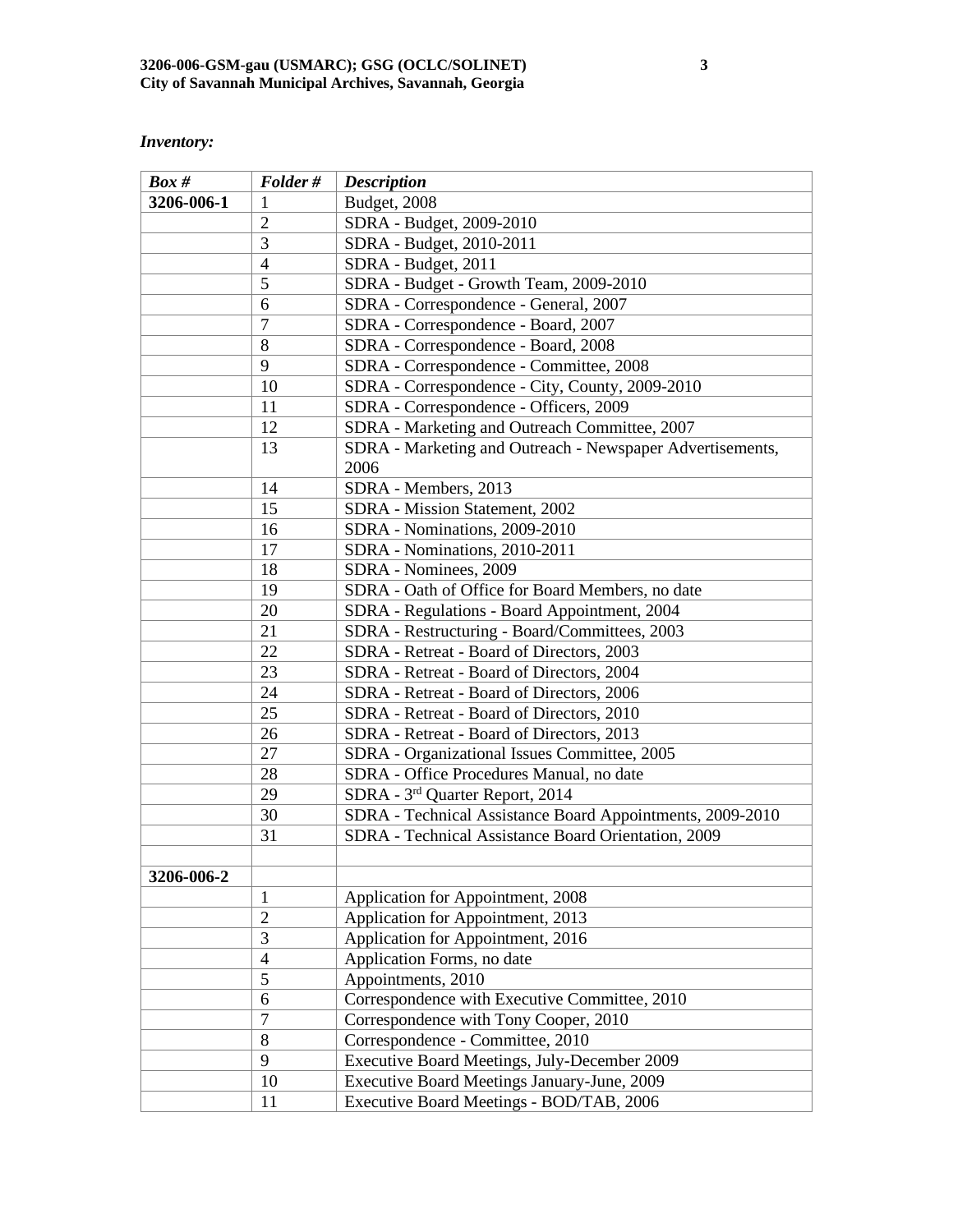# *Inventory:*

| $Box\#$    | Folder#        | <b>Description</b>                                        |
|------------|----------------|-----------------------------------------------------------|
| 3206-006-1 | 1              | Budget, 2008                                              |
|            | $\overline{2}$ | SDRA - Budget, 2009-2010                                  |
|            | 3              | SDRA - Budget, 2010-2011                                  |
|            | $\overline{4}$ | SDRA - Budget, 2011                                       |
|            | 5              | SDRA - Budget - Growth Team, 2009-2010                    |
|            | 6              | SDRA - Correspondence - General, 2007                     |
|            | $\overline{7}$ | SDRA - Correspondence - Board, 2007                       |
|            | 8              | SDRA - Correspondence - Board, 2008                       |
|            | 9              | SDRA - Correspondence - Committee, 2008                   |
|            | 10             | SDRA - Correspondence - City, County, 2009-2010           |
|            | 11             | SDRA - Correspondence - Officers, 2009                    |
|            | 12             | SDRA - Marketing and Outreach Committee, 2007             |
|            | 13             | SDRA - Marketing and Outreach - Newspaper Advertisements, |
|            |                | 2006                                                      |
|            | 14             | SDRA - Members, 2013                                      |
|            | 15             | SDRA - Mission Statement, 2002                            |
|            | 16             | SDRA - Nominations, 2009-2010                             |
|            | 17             | SDRA - Nominations, 2010-2011                             |
|            | 18             | SDRA - Nominees, 2009                                     |
|            | 19             | SDRA - Oath of Office for Board Members, no date          |
|            | 20             | SDRA - Regulations - Board Appointment, 2004              |
|            | 21             | SDRA - Restructuring - Board/Committees, 2003             |
|            | 22             | SDRA - Retreat - Board of Directors, 2003                 |
|            | 23             | SDRA - Retreat - Board of Directors, 2004                 |
|            | 24             | SDRA - Retreat - Board of Directors, 2006                 |
|            | 25             | SDRA - Retreat - Board of Directors, 2010                 |
|            | 26             | SDRA - Retreat - Board of Directors, 2013                 |
|            | 27             | SDRA - Organizational Issues Committee, 2005              |
|            | 28             | SDRA - Office Procedures Manual, no date                  |
|            | 29             | SDRA - 3rd Quarter Report, 2014                           |
|            | 30             | SDRA - Technical Assistance Board Appointments, 2009-2010 |
|            | 31             | SDRA - Technical Assistance Board Orientation, 2009       |
|            |                |                                                           |
| 3206-006-2 |                |                                                           |
|            | 1              | Application for Appointment, 2008                         |
|            | $\overline{2}$ | Application for Appointment, 2013                         |
|            | 3              | Application for Appointment, 2016                         |
|            | $\overline{4}$ | Application Forms, no date                                |
|            | 5              | Appointments, 2010                                        |
|            | 6              | Correspondence with Executive Committee, 2010             |
|            | $\overline{7}$ | Correspondence with Tony Cooper, 2010                     |
|            | 8              | Correspondence - Committee, 2010                          |
|            | 9              | Executive Board Meetings, July-December 2009              |
|            | 10             | Executive Board Meetings January-June, 2009               |
|            | 11             | Executive Board Meetings - BOD/TAB, 2006                  |
|            |                |                                                           |